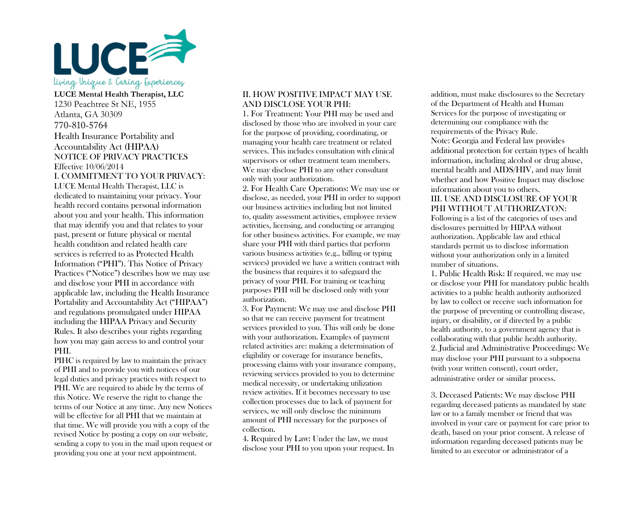

**LUCE Mental Health Therapist, LLC**  1230 Peachtree St NE, 1955 Atlanta, GA 30309 770-810-5764 Health Insurance Portability and Accountability Act (HIPAA) NOTICE OF PRIVACY PRACTICES Effective 10/06/2014 I. COMMITMENT TO YOUR PRIVACY: LUCE Mental Health Therapist, LLC is dedicated to maintaining your privacy. Your health record contains personal information about you and your health. This information that may identify you and that relates to your past, present or future physical or mental health condition and related health care services is referred to as Protected Health Information ("PHI"). This Notice of Privacy Practices ("Notice") describes how we may use and disclose your PHI in accordance with applicable law, including the Health Insurance Portability and Accountability Act ("HIPAA") and regulations promulgated under HIPAA including the HIPAA Privacy and Security Rules. It also describes your rights regarding how you may gain access to and control your PHI.

PIHC is required by law to maintain the privacy of PHI and to provide you with notices of our legal duties and privacy practices with respect to PHI. We are required to abide by the terms of this Notice. We reserve the right to change the terms of our Notice at any time. Any new Notices will be effective for all PHI that we maintain at that time. We will provide you with a copy of the revised Notice by posting a copy on our website, sending a copy to you in the mail upon request or providing you one at your next appointment.

## II. HOW POSITIVE IMPACT MAY USE AND DISCLOSE YOUR PHI:

1. For Treatment: Your PHI may be used and disclosed by those who are involved in your care for the purpose of providing, coordinating, or managing your health care treatment or related services. This includes consultation with clinical supervisors or other treatment team members. We may disclose PHI to any other consultant only with your authorization.

2. For Health Care Operations: We may use or disclose, as needed, your PHI in order to support our business activities including but not limited to, quality assessment activities, employee review activities, licensing, and conducting or arranging for other business activities. For example, we may share your PHI with third parties that perform various business activities (e.g., billing or typing services) provided we have a written contract with the business that requires it to safeguard the privacy of your PHI. For training or teaching purposes PHI will be disclosed only with your authorization.

3. For Payment: We may use and disclose PHI so that we can receive payment for treatment services provided to you. This will only be done with your authorization. Examples of payment related activities are: making a determination of eligibility or coverage for insurance benefits, processing claims with your insurance company, reviewing services provided to you to determine medical necessity, or undertaking utilization review activities. If it becomes necessary to use collection processes due to lack of payment for services, we will only disclose the minimum amount of PHI necessary for the purposes of collection.

4. Required by Law: Under the law, we must disclose your PHI to you upon your request. In

addition, must make disclosures to the Secretary of the Department of Health and Human Services for the purpose of investigating or determining our compliance with the requirements of the Privacy Rule. Note: Georgia and Federal law provides additional protection for certain types of health information, including alcohol or drug abuse, mental health and AIDS/HIV, and may limit whether and how Positive Impact may disclose information about you to others.

## III. USE AND DISCLOSURE OF YOUR PHI WITHOUT AUTHORIZATON:

Following is a list of the categories of uses and disclosures permitted by HIPAA without authorization. Applicable law and ethical standards permit us to disclose information without your authorization only in a limited number of situations.

1. Public Health Risk: If required, we may use or disclose your PHI for mandatory public health activities to a public health authority authorized by law to collect or receive such information for the purpose of preventing or controlling disease, injury, or disability, or if directed by a public health authority, to a government agency that is collaborating with that public health authority. 2. Judicial and Administrative Proceedings: We may disclose your PHI pursuant to a subpoena (with your written consent), court order, administrative order or similar process.

3. Deceased Patients: We may disclose PHI regarding deceased patients as mandated by state law or to a family member or friend that was involved in your care or payment for care prior to death, based on your prior consent. A release of information regarding deceased patients may be limited to an executor or administrator of a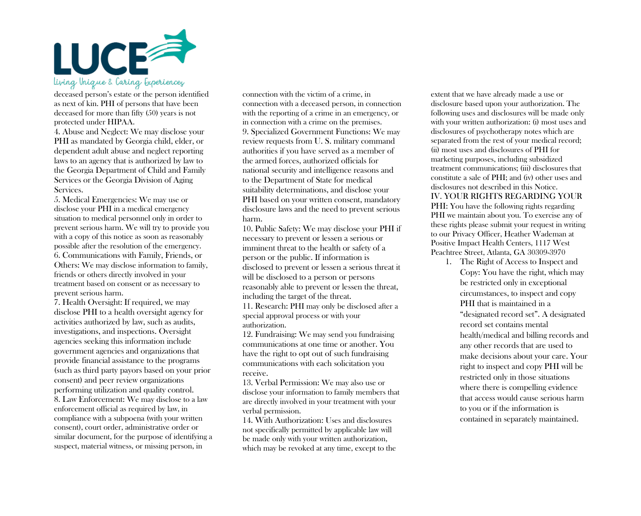

deceased person's estate or the person identified as next of kin. PHI of persons that have been deceased for more than fifty (50) years is not protected under HIPAA.

4. Abuse and Neglect: We may disclose your PHI as mandated by Georgia child, elder, or dependent adult abuse and neglect reporting laws to an agency that is authorized by law to the Georgia Department of Child and Family Services or the Georgia Division of Aging Services.

5. Medical Emergencies: We may use or disclose your PHI in a medical emergency situation to medical personnel only in order to prevent serious harm. We will try to provide you with a copy of this notice as soon as reasonably possible after the resolution of the emergency. 6. Communications with Family, Friends, or Others: We may disclose information to family, friends or others directly involved in your treatment based on consent or as necessary to prevent serious harm.

7. Health Oversight: If required, we may disclose PHI to a health oversight agency for activities authorized by law, such as audits, investigations, and inspections. Oversight agencies seeking this information include government agencies and organizations that provide financial assistance to the programs (such as third party payors based on your prior consent) and peer review organizations performing utilization and quality control. 8. Law Enforcement: We may disclose to a law enforcement official as required by law, in compliance with a subpoena (with your written consent), court order, administrative order or similar document, for the purpose of identifying a suspect, material witness, or missing person, in

connection with the victim of a crime, in connection with a deceased person, in connection with the reporting of a crime in an emergency, or in connection with a crime on the premises. 9. Specialized Government Functions: We may review requests from U. S. military command authorities if you have served as a member of the armed forces, authorized officials for national security and intelligence reasons and to the Department of State for medical suitability determinations, and disclose your PHI based on your written consent, mandatory disclosure laws and the need to prevent serious harm.

10. Public Safety: We may disclose your PHI if necessary to prevent or lessen a serious or imminent threat to the health or safety of a person or the public. If information is disclosed to prevent or lessen a serious threat it will be disclosed to a person or persons reasonably able to prevent or lessen the threat, including the target of the threat.

11. Research: PHI may only be disclosed after a special approval process or with your authorization.

12. Fundraising: We may send you fundraising communications at one time or another. You have the right to opt out of such fundraising communications with each solicitation you receive.

13. Verbal Permission: We may also use or disclose your information to family members that are directly involved in your treatment with your verbal permission.

14. With Authorization: Uses and disclosures not specifically permitted by applicable law will be made only with your written authorization, which may be revoked at any time, except to the

extent that we have already made a use or disclosure based upon your authorization. The following uses and disclosures will be made only with your written authorization: (i) most uses and disclosures of psychotherapy notes which are separated from the rest of your medical record; (ii) most uses and disclosures of PHI for marketing purposes, including subsidized treatment communications; (iii) disclosures that constitute a sale of PHI; and (iv) other uses and disclosures not described in this Notice. IV. YOUR RIGHTS REGARDING YOUR PHI: You have the following rights regarding PHI we maintain about you. To exercise any of these rights please submit your request in writing to our Privacy Officer, Heather Wademan at Positive Impact Health Centers, 1117 West Peachtree Street, Atlanta, GA 30309-3970

1. The Right of Access to Inspect and Copy: You have the right, which may be restricted only in exceptional circumstances, to inspect and copy PHI that is maintained in a "designated record set". A designated record set contains mental health/medical and billing records and any other records that are used to make decisions about your care. Your right to inspect and copy PHI will be restricted only in those situations where there is compelling evidence that access would cause serious harm to you or if the information is contained in separately maintained.